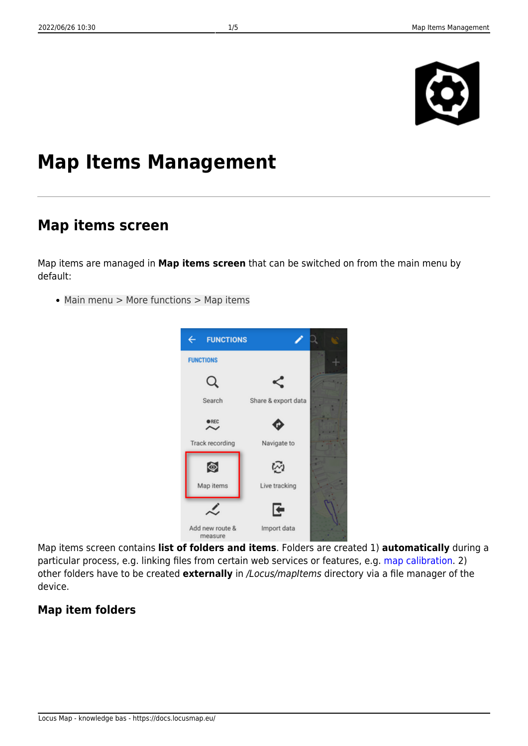

# **Map Items Management**

## **Map items screen**

Map items are managed in **Map items screen** that can be switched on from the main menu by default:

Main menu > More functions > Map items



Map items screen contains **list of folders and items**. Folders are created 1) **automatically** during a particular process, e.g. linking files from certain web services or features, e.g. [map calibration](https://docs.locusmap.eu/doku.php?id=manual:user_guide:maps_tools:calibrator). 2) other folders have to be created **externally** in /Locus/mapItems directory via a file manager of the device.

### **Map item folders**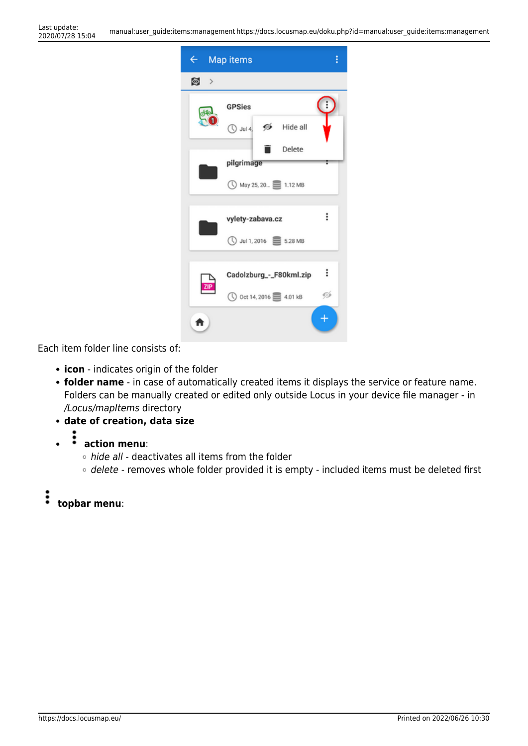| $\leftarrow$ Map items |                                             | i |
|------------------------|---------------------------------------------|---|
| ◙⇒                     |                                             |   |
| Ō                      | <b>GPSies</b>                               |   |
|                        | $\bigcirc$ Jul 4, $\mathscr{D}$<br>Hide all |   |
|                        | Delete                                      |   |
|                        | pilgrimage                                  |   |
|                        | ◯ May 25, 20 1.12 MB                        |   |
|                        |                                             |   |
|                        | vylety-zabava.cz                            | ፡ |
|                        | ◯ Jul 1, 2016 S.28 MB                       |   |
|                        |                                             |   |
|                        | Cadolzburg_-_F80kml.zip                     | ፡ |
|                        | ① Oct 14, 2016 <b>E</b> 4.01 kB             | Ø |
| A                      |                                             |   |

Each item folder line consists of:

- **icon** indicates origin of the folder
- **folder name** in case of automatically created items it displays the service or feature name. Folders can be manually created or edited only outside Locus in your device file manager - in /Locus/mapItems directory
- **date of creation, data size**
- - š **action menu**:
		- $\circ$  hide all deactivates all items from the folder
		- o delete removes whole folder provided it is empty included items must be deleted first
- ։ **topbar menu**: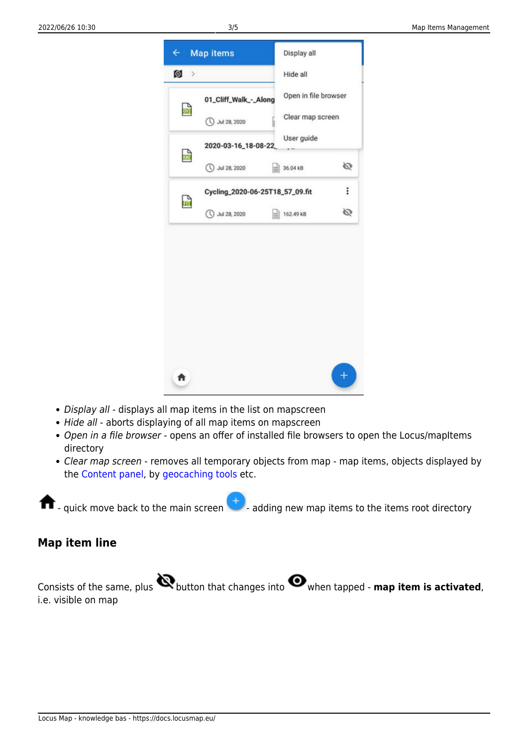

- Display all displays all map items in the list on mapscreen
- Hide all aborts displaying of all map items on mapscreen
- Open in a file browser opens an offer of installed file browsers to open the Locus/mapItems directory
- Clear map screen removes all temporary objects from map map items, objects displayed by the [Content panel,](https://docs.locusmap.eu/doku.php?id=manual:user_guide:mainscr_lpanel) by [geocaching tools](https://docs.locusmap.eu/doku.php?id=manual:user_guide:geocaching:tools) etc.

 $\blacksquare$  - quick move back to the main screen  $\blacksquare$  - adding new map items to the items root directory

#### **Map item line**

Consists of the same, plus **button that changes into O** when tapped - **map item is activated**, i.e. visible on map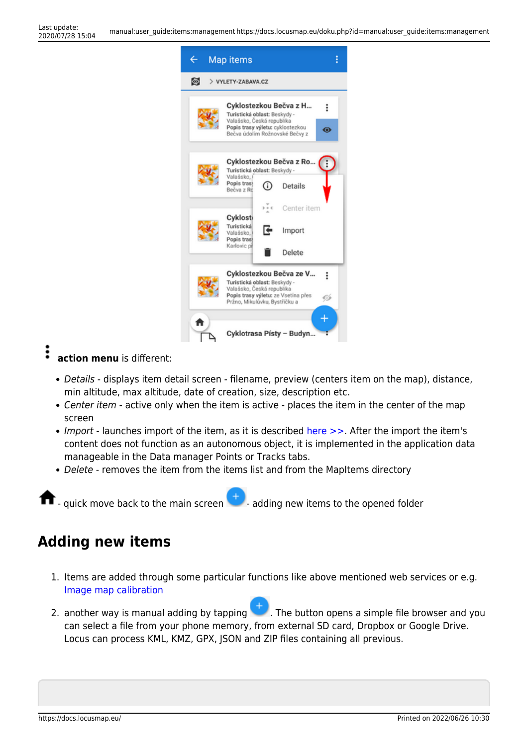

### $\vdots$

**action menu** is different:

- Details displays item detail screen filename, preview (centers item on the map), distance, min altitude, max altitude, date of creation, size, description etc.
- Center item active only when the item is active places the item in the center of the map screen
- Import launches import of the item, as it is described [here >>](https://docs.locusmap.eu/doku.php?id=manual:user_guide:functions:data_import). After the import the item's content does not function as an autonomous object, it is implemented in the application data manageable in the Data manager Points or Tracks tabs.
- Delete removes the item from the items list and from the MapItems directory

quick move back to the main screen  $\blacksquare$  - adding new items to the opened folder

# **Adding new items**

- 1. Items are added through some particular functions like above mentioned web services or e.g. [Image map calibration](https://docs.locusmap.eu/doku.php?id=manual:user_guide:maps_tools:calibrator)
- 2. another way is manual adding by tapping  $\blacksquare$ . The button opens a simple file browser and you can select a file from your phone memory, from external SD card, Dropbox or Google Drive. Locus can process KML, KMZ, GPX, JSON and ZIP files containing all previous.